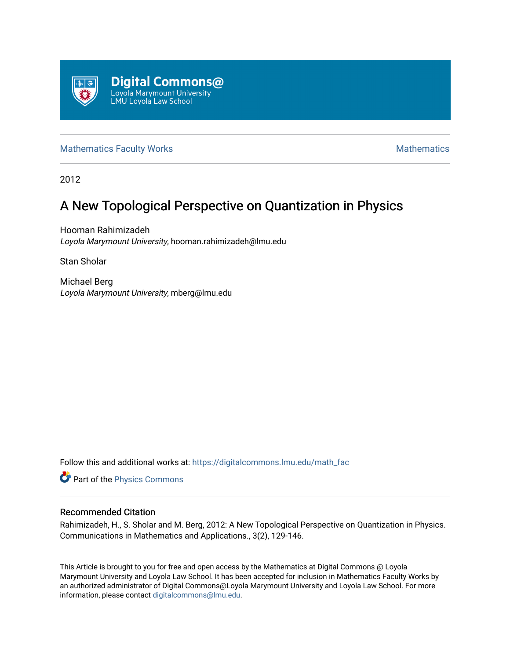

## [Mathematics Faculty Works](https://digitalcommons.lmu.edu/math_fac) **Mathematics Mathematics** Mathematics

2012

# A New Topological Perspective on Quantization in Physics

Hooman Rahimizadeh Loyola Marymount University, hooman.rahimizadeh@lmu.edu

Stan Sholar

Michael Berg Loyola Marymount University, mberg@lmu.edu

Follow this and additional works at: [https://digitalcommons.lmu.edu/math\\_fac](https://digitalcommons.lmu.edu/math_fac?utm_source=digitalcommons.lmu.edu%2Fmath_fac%2F48&utm_medium=PDF&utm_campaign=PDFCoverPages) 

Part of the [Physics Commons](http://network.bepress.com/hgg/discipline/193?utm_source=digitalcommons.lmu.edu%2Fmath_fac%2F48&utm_medium=PDF&utm_campaign=PDFCoverPages)

## Recommended Citation

Rahimizadeh, H., S. Sholar and M. Berg, 2012: A New Topological Perspective on Quantization in Physics. Communications in Mathematics and Applications., 3(2), 129-146.

This Article is brought to you for free and open access by the Mathematics at Digital Commons @ Loyola Marymount University and Loyola Law School. It has been accepted for inclusion in Mathematics Faculty Works by an authorized administrator of Digital Commons@Loyola Marymount University and Loyola Law School. For more information, please contact [digitalcommons@lmu.edu.](mailto:digitalcommons@lmu.edu)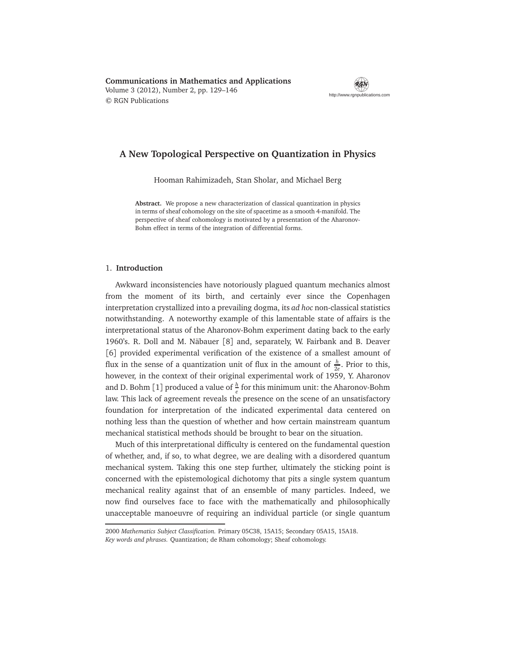**Communications in Mathematics and Applications** Volume 3 (2012), Number 2, pp. 129–146 © RGN Publications



## **A New Topological Perspective on Quantization in Physics**

Hooman Rahimizadeh, Stan Sholar, and Michael Berg

**Abstract.** We propose a new characterization of classical quantization in physics in terms of sheaf cohomology on the site of spacetime as a smooth 4-manifold. The perspective of sheaf cohomology is motivated by a presentation of the Aharonov-Bohm effect in terms of the integration of differential forms.

#### 1. **Introduction**

Awkward inconsistencies have notoriously plagued quantum mechanics almost from the moment of its birth, and certainly ever since the Copenhagen interpretation crystallized into a prevailing dogma, its *ad hoc* non-classical statistics notwithstanding. A noteworthy example of this lamentable state of affairs is the interpretational status of the Aharonov-Bohm experiment dating back to the early 1960's. R. Doll and M. Näbauer [8] and, separately, W. Fairbank and B. Deaver [6] provided experimental verification of the existence of a smallest amount of flux in the sense of a quantization unit of flux in the amount of  $\frac{h}{2e}$ . Prior to this, however, in the context of their original experimental work of 1959, Y. Aharonov and D. Bohm [1] produced a value of  $\frac{h}{e}$  for this minimum unit: the Aharonov-Bohm law. This lack of agreement reveals the presence on the scene of an unsatisfactory foundation for interpretation of the indicated experimental data centered on nothing less than the question of whether and how certain mainstream quantum mechanical statistical methods should be brought to bear on the situation.

Much of this interpretational difficulty is centered on the fundamental question of whether, and, if so, to what degree, we are dealing with a disordered quantum mechanical system. Taking this one step further, ultimately the sticking point is concerned with the epistemological dichotomy that pits a single system quantum mechanical reality against that of an ensemble of many particles. Indeed, we now find ourselves face to face with the mathematically and philosophically unacceptable manoeuvre of requiring an individual particle (or single quantum

<sup>2000</sup> *Mathematics Subject Classification.* Primary 05C38, 15A15; Secondary 05A15, 15A18. *Key words and phrases.* Quantization; de Rham cohomology; Sheaf cohomology.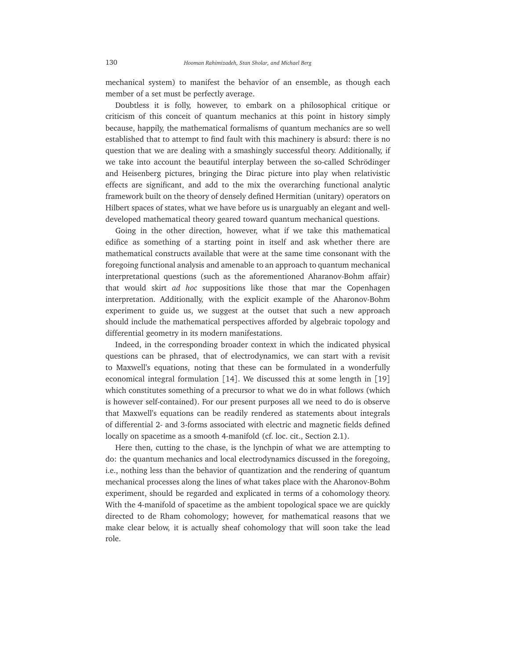mechanical system) to manifest the behavior of an ensemble, as though each member of a set must be perfectly average.

Doubtless it is folly, however, to embark on a philosophical critique or criticism of this conceit of quantum mechanics at this point in history simply because, happily, the mathematical formalisms of quantum mechanics are so well established that to attempt to find fault with this machinery is absurd: there is no question that we are dealing with a smashingly successful theory. Additionally, if we take into account the beautiful interplay between the so-called Schrödinger and Heisenberg pictures, bringing the Dirac picture into play when relativistic effects are significant, and add to the mix the overarching functional analytic framework built on the theory of densely defined Hermitian (unitary) operators on Hilbert spaces of states, what we have before us is unarguably an elegant and welldeveloped mathematical theory geared toward quantum mechanical questions.

Going in the other direction, however, what if we take this mathematical edifice as something of a starting point in itself and ask whether there are mathematical constructs available that were at the same time consonant with the foregoing functional analysis and amenable to an approach to quantum mechanical interpretational questions (such as the aforementioned Aharanov-Bohm affair) that would skirt *ad hoc* suppositions like those that mar the Copenhagen interpretation. Additionally, with the explicit example of the Aharonov-Bohm experiment to guide us, we suggest at the outset that such a new approach should include the mathematical perspectives afforded by algebraic topology and differential geometry in its modern manifestations.

Indeed, in the corresponding broader context in which the indicated physical questions can be phrased, that of electrodynamics, we can start with a revisit to Maxwell's equations, noting that these can be formulated in a wonderfully economical integral formulation [14]. We discussed this at some length in [19] which constitutes something of a precursor to what we do in what follows (which is however self-contained). For our present purposes all we need to do is observe that Maxwell's equations can be readily rendered as statements about integrals of differential 2- and 3-forms associated with electric and magnetic fields defined locally on spacetime as a smooth 4-manifold (cf. loc. cit., Section 2.1).

Here then, cutting to the chase, is the lynchpin of what we are attempting to do: the quantum mechanics and local electrodynamics discussed in the foregoing, i.e., nothing less than the behavior of quantization and the rendering of quantum mechanical processes along the lines of what takes place with the Aharonov-Bohm experiment, should be regarded and explicated in terms of a cohomology theory. With the 4-manifold of spacetime as the ambient topological space we are quickly directed to de Rham cohomology; however, for mathematical reasons that we make clear below, it is actually sheaf cohomology that will soon take the lead role.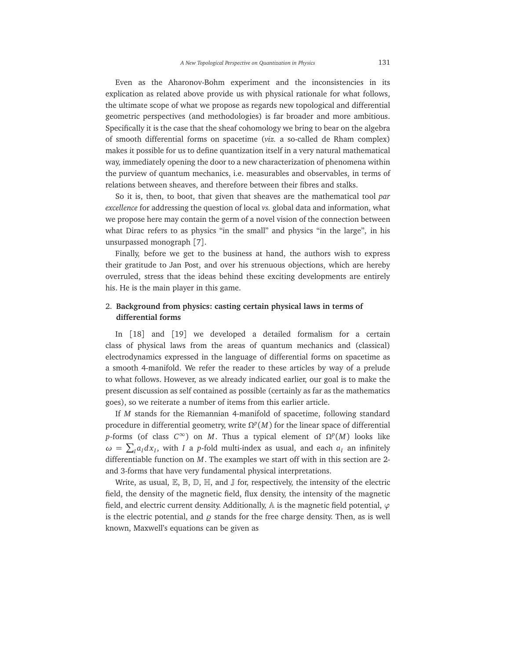Even as the Aharonov-Bohm experiment and the inconsistencies in its explication as related above provide us with physical rationale for what follows, the ultimate scope of what we propose as regards new topological and differential geometric perspectives (and methodologies) is far broader and more ambitious. Specifically it is the case that the sheaf cohomology we bring to bear on the algebra of smooth differential forms on spacetime (*viz.* a so-called de Rham complex) makes it possible for us to define quantization itself in a very natural mathematical way, immediately opening the door to a new characterization of phenomena within the purview of quantum mechanics, i.e. measurables and observables, in terms of relations between sheaves, and therefore between their fibres and stalks.

So it is, then, to boot, that given that sheaves are the mathematical tool *par excellence* for addressing the question of local *vs.* global data and information, what we propose here may contain the germ of a novel vision of the connection between what Dirac refers to as physics "in the small" and physics "in the large", in his unsurpassed monograph [7].

Finally, before we get to the business at hand, the authors wish to express their gratitude to Jan Post, and over his strenuous objections, which are hereby overruled, stress that the ideas behind these exciting developments are entirely his. He is the main player in this game.

## 2. **Background from physics: casting certain physical laws in terms of differential forms**

In [18] and [19] we developed a detailed formalism for a certain class of physical laws from the areas of quantum mechanics and (classical) electrodynamics expressed in the language of differential forms on spacetime as a smooth 4-manifold. We refer the reader to these articles by way of a prelude to what follows. However, as we already indicated earlier, our goal is to make the present discussion as self contained as possible (certainly as far as the mathematics goes), so we reiterate a number of items from this earlier article.

If *M* stands for the Riemannian 4-manifold of spacetime, following standard procedure in differential geometry, write  $\Omega^p(M)$  for the linear space of differential *p*-forms (of class  $C^{\infty}$ ) on *M*. Thus a typical element of  $\Omega^p(M)$  looks like  $\omega = \sum_{I} a_{I} dx_{I}$ , with *I* a *p*-fold multi-index as usual, and each  $a_{I}$  an infinitely differentiable function on *M*. The examples we start off with in this section are 2 and 3-forms that have very fundamental physical interpretations.

Write, as usual,  $\mathbb{E}, \mathbb{B}, \mathbb{D}, \mathbb{H}$ , and  $\mathbb{J}$  for, respectively, the intensity of the electric field, the density of the magnetic field, flux density, the intensity of the magnetic field, and electric current density. Additionally, A is the magnetic field potential, *ϕ* is the electric potential, and  $\rho$  stands for the free charge density. Then, as is well known, Maxwell's equations can be given as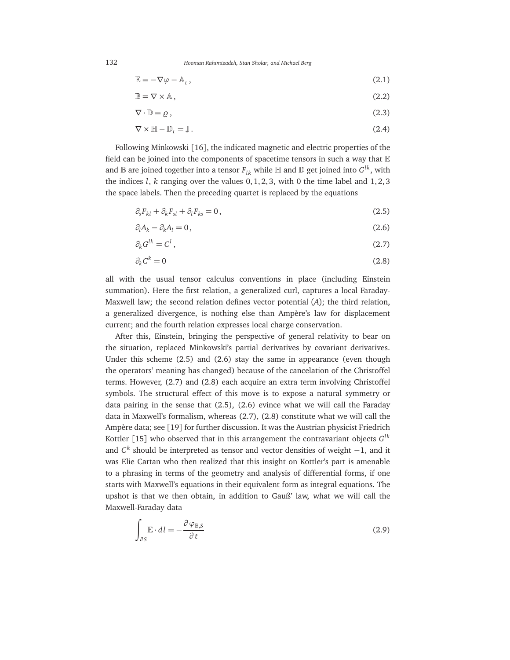132 *Hooman Rahimizadeh, Stan Sholar, and Michael Berg*

$$
\mathbb{E} = -\nabla \varphi - \mathbb{A}_t, \qquad (2.1)
$$

$$
\mathbb{B} = \nabla \times \mathbb{A},\tag{2.2}
$$

$$
\nabla \cdot \mathbb{D} = \varrho \,,\tag{2.3}
$$

$$
\nabla \times \mathbb{H} - \mathbb{D}_t = \mathbb{J} \,. \tag{2.4}
$$

Following Minkowski [16], the indicated magnetic and electric properties of the field can be joined into the components of spacetime tensors in such a way that  $E$ and  $\mathbb B$  are joined together into a tensor  $F_{lk}$  while  $\mathbb H$  and  $\mathbb D$  get joined into  $G^{lk}$ , with the indices *l*, *k* ranging over the values 0, 1, 2, 3, with 0 the time label and 1, 2, 3 the space labels. Then the preceding quartet is replaced by the equations

$$
\partial_s F_{kl} + \partial_k F_{sl} + \partial_l F_{ks} = 0, \qquad (2.5)
$$

$$
\partial_l A_k - \partial_k A_l = 0, \qquad (2.6)
$$

$$
\partial_k G^{lk} = C^l \,,\tag{2.7}
$$

$$
\partial_k C^k = 0 \tag{2.8}
$$

all with the usual tensor calculus conventions in place (including Einstein summation). Here the first relation, a generalized curl, captures a local Faraday-Maxwell law; the second relation defines vector potential (*A*); the third relation, a generalized divergence, is nothing else than Ampère's law for displacement current; and the fourth relation expresses local charge conservation.

After this, Einstein, bringing the perspective of general relativity to bear on the situation, replaced Minkowski's partial derivatives by covariant derivatives. Under this scheme (2.5) and (2.6) stay the same in appearance (even though the operators' meaning has changed) because of the cancelation of the Christoffel terms. However, (2.7) and (2.8) each acquire an extra term involving Christoffel symbols. The structural effect of this move is to expose a natural symmetry or data pairing in the sense that  $(2.5)$ ,  $(2.6)$  evince what we will call the Faraday data in Maxwell's formalism, whereas (2.7), (2.8) constitute what we will call the Ampère data; see [19] for further discussion. It was the Austrian physicist Friedrich Kottler [15] who observed that in this arrangement the contravariant objects *G lk* and *C k* should be interpreted as tensor and vector densities of weight −1, and it was Elie Cartan who then realized that this insight on Kottler's part is amenable to a phrasing in terms of the geometry and analysis of differential forms, if one starts with Maxwell's equations in their equivalent form as integral equations. The upshot is that we then obtain, in addition to Gauß' law, what we will call the Maxwell-Faraday data

$$
\int_{\partial S} \mathbb{E} \cdot dl = -\frac{\partial \varphi_{\mathbb{B},S}}{\partial t} \tag{2.9}
$$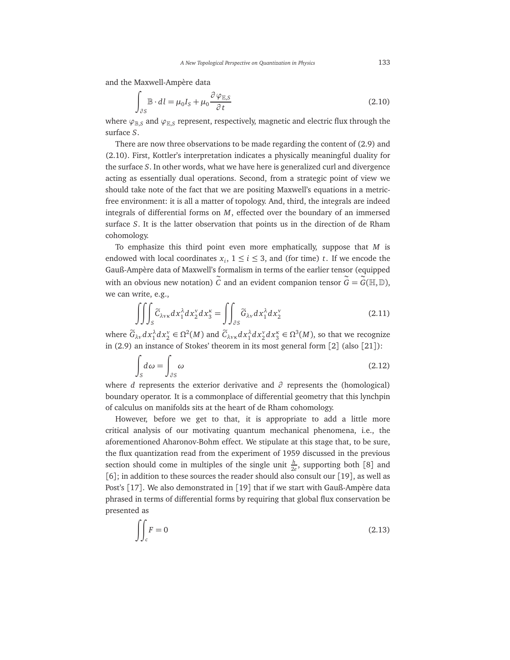and the Maxwell-Ampère data

$$
\int_{\partial S} \mathbb{B} \cdot dl = \mu_0 I_S + \mu_0 \frac{\partial \varphi_{\mathbb{E}, S}}{\partial t}
$$
\n(2.10)

where  $\varphi_{\mathbb{B},\mathcal{S}}$  and  $\varphi_{\mathbb{E},\mathcal{S}}$  represent, respectively, magnetic and electric flux through the surface *S*.

There are now three observations to be made regarding the content of (2.9) and (2.10). First, Kottler's interpretation indicates a physically meaningful duality for the surface *S*. In other words, what we have here is generalized curl and divergence acting as essentially dual operations. Second, from a strategic point of view we should take note of the fact that we are positing Maxwell's equations in a metricfree environment: it is all a matter of topology. And, third, the integrals are indeed integrals of differential forms on *M*, effected over the boundary of an immersed surface *S*. It is the latter observation that points us in the direction of de Rham cohomology.

To emphasize this third point even more emphatically, suppose that *M* is endowed with local coordinates  $x_i$ ,  $1 \le i \le 3$ , and (for time) *t*. If we encode the Gauß-Ampère data of Maxwell's formalism in terms of the earlier tensor (equipped with an obvious new notation)  $\tilde{C}$  and an evident companion tensor  $\tilde{G} = \tilde{G}(\mathbb{H}, \mathbb{D})$ , we can write, e.g.,

$$
\iiint_{S} \widetilde{C}_{\lambda v \kappa} dx_1^{\lambda} dx_2^{\nu} dx_3^{\kappa} = \iint_{\partial S} \widetilde{G}_{\lambda v} dx_1^{\lambda} dx_2^{\nu}
$$
 (2.11)

where  $\widetilde{G}_{\lambda v}dx_1^{\lambda}dx_2^{\nu} \in \Omega^2(M)$  and  $\widetilde{C}_{\lambda v\kappa}dx_1^{\lambda}dx_2^{\nu}dx_3^{\kappa} \in \Omega^3(M)$ , so that we recognize in (2.9) an instance of Stokes' theorem in its most general form [2] (also [21]):

$$
\int_{S} d\omega = \int_{\partial S} \omega \tag{2.12}
$$

where *d* represents the exterior derivative and *∂* represents the (homological) boundary operator. It is a commonplace of differential geometry that this lynchpin of calculus on manifolds sits at the heart of de Rham cohomology.

However, before we get to that, it is appropriate to add a little more critical analysis of our motivating quantum mechanical phenomena, i.e., the aforementioned Aharonov-Bohm effect. We stipulate at this stage that, to be sure, the flux quantization read from the experiment of 1959 discussed in the previous section should come in multiples of the single unit  $\frac{h}{2e}$ , supporting both [8] and [6]; in addition to these sources the reader should also consult our [19], as well as Post's [17]. We also demonstrated in [19] that if we start with Gauß-Ampère data phrased in terms of differential forms by requiring that global flux conservation be presented as

$$
\iint_{c} F = 0 \tag{2.13}
$$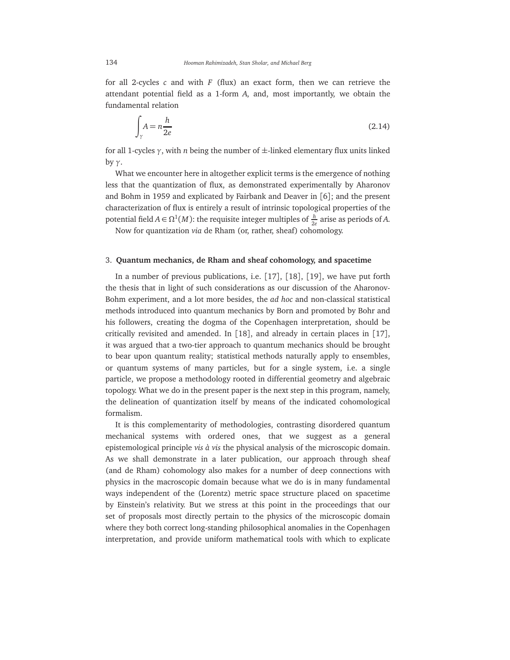for all 2-cycles *c* and with *F* (flux) an exact form, then we can retrieve the attendant potential field as a 1-form *A*, and, most importantly, we obtain the fundamental relation

$$
\int_{\gamma} A = n \frac{h}{2e} \tag{2.14}
$$

for all 1-cycles *γ*, with *n* being the number of ±-linked elementary flux units linked by *γ*.

What we encounter here in altogether explicit terms is the emergence of nothing less that the quantization of flux, as demonstrated experimentally by Aharonov and Bohm in 1959 and explicated by Fairbank and Deaver in [6]; and the present characterization of flux is entirely a result of intrinsic topological properties of the potential field  $A \in \Omega^1(M)$ : the requisite integer multiples of  $\frac{h}{2e}$  arise as periods of A.

Now for quantization *via* de Rham (or, rather, sheaf) cohomology.

#### 3. **Quantum mechanics, de Rham and sheaf cohomology, and spacetime**

In a number of previous publications, i.e. [17], [18], [19], we have put forth the thesis that in light of such considerations as our discussion of the Aharonov-Bohm experiment, and a lot more besides, the *ad hoc* and non-classical statistical methods introduced into quantum mechanics by Born and promoted by Bohr and his followers, creating the dogma of the Copenhagen interpretation, should be critically revisited and amended. In [18], and already in certain places in [17], it was argued that a two-tier approach to quantum mechanics should be brought to bear upon quantum reality; statistical methods naturally apply to ensembles, or quantum systems of many particles, but for a single system, i.e. a single particle, we propose a methodology rooted in differential geometry and algebraic topology. What we do in the present paper is the next step in this program, namely, the delineation of quantization itself by means of the indicated cohomological formalism.

It is this complementarity of methodologies, contrasting disordered quantum mechanical systems with ordered ones, that we suggest as a general epistemological principle *vis à vis* the physical analysis of the microscopic domain. As we shall demonstrate in a later publication, our approach through sheaf (and de Rham) cohomology also makes for a number of deep connections with physics in the macroscopic domain because what we do is in many fundamental ways independent of the (Lorentz) metric space structure placed on spacetime by Einstein's relativity. But we stress at this point in the proceedings that our set of proposals most directly pertain to the physics of the microscopic domain where they both correct long-standing philosophical anomalies in the Copenhagen interpretation, and provide uniform mathematical tools with which to explicate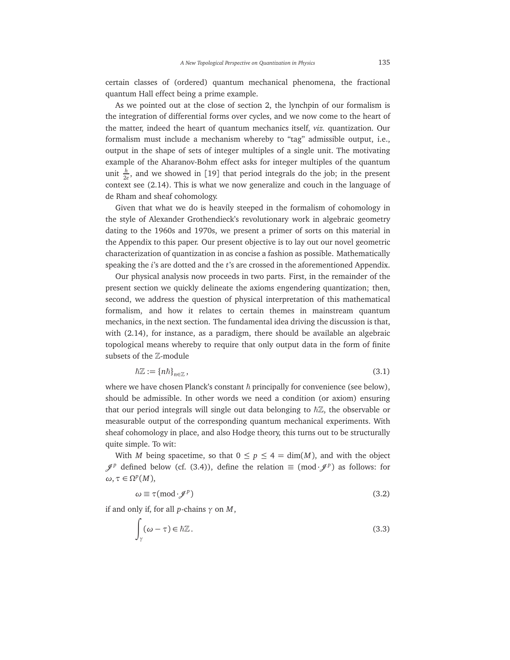certain classes of (ordered) quantum mechanical phenomena, the fractional quantum Hall effect being a prime example.

As we pointed out at the close of section 2, the lynchpin of our formalism is the integration of differential forms over cycles, and we now come to the heart of the matter, indeed the heart of quantum mechanics itself, *viz.* quantization. Our formalism must include a mechanism whereby to "tag" admissible output, i.e., output in the shape of sets of integer multiples of a single unit. The motivating example of the Aharanov-Bohm effect asks for integer multiples of the quantum unit  $\frac{h}{2e}$ , and we showed in [19] that period integrals do the job; in the present context see (2.14). This is what we now generalize and couch in the language of de Rham and sheaf cohomology.

Given that what we do is heavily steeped in the formalism of cohomology in the style of Alexander Grothendieck's revolutionary work in algebraic geometry dating to the 1960s and 1970s, we present a primer of sorts on this material in the Appendix to this paper. Our present objective is to lay out our novel geometric characterization of quantization in as concise a fashion as possible. Mathematically speaking the *i*'s are dotted and the *t*'s are crossed in the aforementioned Appendix.

Our physical analysis now proceeds in two parts. First, in the remainder of the present section we quickly delineate the axioms engendering quantization; then, second, we address the question of physical interpretation of this mathematical formalism, and how it relates to certain themes in mainstream quantum mechanics, in the next section. The fundamental idea driving the discussion is that, with (2.14), for instance, as a paradigm, there should be available an algebraic topological means whereby to require that only output data in the form of finite subsets of the Z-module

$$
\hbar \mathbb{Z} := \{ n \hbar \}_{n \in \mathbb{Z}},\tag{3.1}
$$

where we have chosen Planck's constant  $\hbar$  principally for convenience (see below), should be admissible. In other words we need a condition (or axiom) ensuring that our period integrals will single out data belonging to  $\hbar\mathbb{Z}$ , the observable or measurable output of the corresponding quantum mechanical experiments. With sheaf cohomology in place, and also Hodge theory, this turns out to be structurally quite simple. To wit:

With *M* being spacetime, so that  $0 \le p \le 4 = \dim(M)$ , and with the object  $\mathscr{J}^p$  defined below (cf. (3.4)), define the relation ≡ (mod· $\mathscr{J}^p$ ) as follows: for  $\omega, \tau \in \Omega^p(M)$ ,

$$
\omega \equiv \tau (\text{mod} \cdot \mathscr{J}^p) \tag{3.2}
$$

if and only if, for all *p*-chains *γ* on *M*,

$$
\int_{\gamma} (\omega - \tau) \in \hbar \mathbb{Z}.
$$
\n(3.3)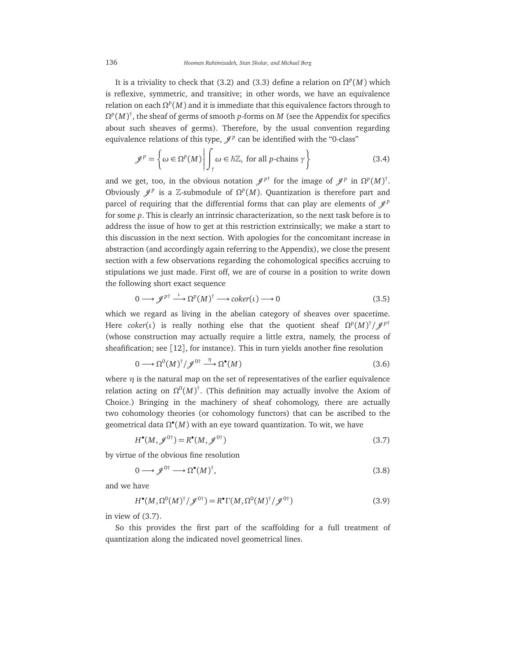It is a triviality to check that (3.2) and (3.3) define a relation on  $\Omega^p(M)$  which is reflexive, symmetric, and transitive; in other words, we have an equivalence relation on each  $Ω<sup>p</sup>(M)$  and it is immediate that this equivalence factors through to  $\Omega^p(M)^\dagger$ , the sheaf of germs of smooth *p*-forms on *M* (see the Appendix for specifics about such sheaves of germs). Therefore, by the usual convention regarding equivalence relations of this type,  $\mathcal{J}^p$  can be identified with the "0-class"

$$
\mathcal{J}^p = \left\{ \omega \in \Omega^p(M) \middle| \int_{\gamma} \omega \in \hbar \mathbb{Z}, \text{ for all } p \text{-chains } \gamma \right\}
$$
 (3.4)

and we get, too, in the obvious notation  $\mathscr{J}^{p^{\dagger}}$  for the image of  $\mathscr{J}^{p}$  in  $\Omega^{p}(M)^{\dagger}$ . Obviously  $\mathscr{J}^p$  is a Z-submodule of  $\Omega^p(M)$ . Quantization is therefore part and parcel of requiring that the differential forms that can play are elements of  $\mathcal{J}^p$ for some *p*. This is clearly an intrinsic characterization, so the next task before is to address the issue of how to get at this restriction extrinsically; we make a start to this discussion in the next section. With apologies for the concomitant increase in abstraction (and accordingly again referring to the Appendix), we close the present section with a few observations regarding the cohomological specifics accruing to stipulations we just made. First off, we are of course in a position to write down the following short exact sequence

$$
0 \longrightarrow \mathcal{J}^{p\dagger} \stackrel{\iota}{\longrightarrow} \Omega^p(M)^\dagger \longrightarrow \text{coker}(\iota) \longrightarrow 0 \tag{3.5}
$$

which we regard as living in the abelian category of sheaves over spacetime. Here *coker*(*ι*) is really nothing else that the quotient sheaf  $\Omega^p(M)^\dagger/\mathscr{J}^{p\dagger}$ (whose construction may actually require a little extra, namely, the process of sheafification; see [12], for instance). This in turn yields another fine resolution

$$
0 \longrightarrow \Omega^0(M)^{\dagger} / \mathcal{J}^{0 \dagger} \stackrel{\eta}{\longrightarrow} \Omega^{\bullet}(M)
$$
\n(3.6)

where  $\eta$  is the natural map on the set of representatives of the earlier equivalence relation acting on  $\Omega^0(M)^\dagger$ . (This definition may actually involve the Axiom of Choice.) Bringing in the machinery of sheaf cohomology, there are actually two cohomology theories (or cohomology functors) that can be ascribed to the geometrical data  $\Omega^{\bullet}(M)$  with an eye toward quantization. To wit, we have

$$
H^{\bullet}(M, \mathscr{J}^{0\dagger}) = R^{\bullet}(M, \mathscr{J}^{0\dagger})
$$
\n(3.7)

by virtue of the obvious fine resolution

$$
0 \longrightarrow \mathcal{J}^{0\dagger} \longrightarrow \Omega^{\bullet}(M)^{\dagger}, \tag{3.8}
$$

and we have

$$
H^{\bullet}(M, \Omega^0(M)^{\dagger}/\mathscr{J}^{0\dagger}) = R^{\bullet}\Gamma(M, \Omega^0(M)^{\dagger}/\mathscr{J}^{0\dagger})
$$
\n(3.9)

in view of (3.7).

So this provides the first part of the scaffolding for a full treatment of quantization along the indicated novel geometrical lines.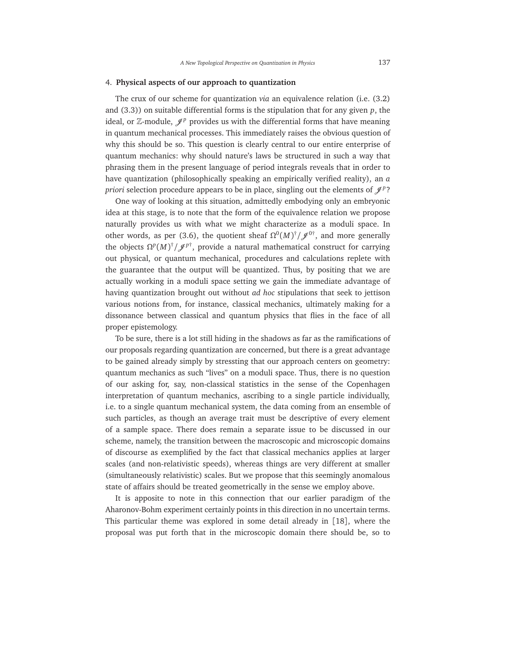#### 4. **Physical aspects of our approach to quantization**

The crux of our scheme for quantization *via* an equivalence relation (i.e. (3.2) and (3.3)) on suitable differential forms is the stipulation that for any given *p*, the ideal, or  $\mathbb Z$ -module,  $\mathscr J^p$  provides us with the differential forms that have meaning in quantum mechanical processes. This immediately raises the obvious question of why this should be so. This question is clearly central to our entire enterprise of quantum mechanics: why should nature's laws be structured in such a way that phrasing them in the present language of period integrals reveals that in order to have quantization (philosophically speaking an empirically verified reality), an *a priori* selection procedure appears to be in place, singling out the elements of  $\mathcal{J}^p$ ?

One way of looking at this situation, admittedly embodying only an embryonic idea at this stage, is to note that the form of the equivalence relation we propose naturally provides us with what we might characterize as a moduli space. In other words, as per (3.6), the quotient sheaf  $\Omega^0(M)^{\dagger}/\mathscr{J}^{0\dagger}$ , and more generally the objects  $\Omega^p(M)^\dagger/\mathscr{J}^{p\dagger}$ , provide a natural mathematical construct for carrying out physical, or quantum mechanical, procedures and calculations replete with the guarantee that the output will be quantized. Thus, by positing that we are actually working in a moduli space setting we gain the immediate advantage of having quantization brought out without *ad hoc* stipulations that seek to jettison various notions from, for instance, classical mechanics, ultimately making for a dissonance between classical and quantum physics that flies in the face of all proper epistemology.

To be sure, there is a lot still hiding in the shadows as far as the ramifications of our proposals regarding quantization are concerned, but there is a great advantage to be gained already simply by stressting that our approach centers on geometry: quantum mechanics as such "lives" on a moduli space. Thus, there is no question of our asking for, say, non-classical statistics in the sense of the Copenhagen interpretation of quantum mechanics, ascribing to a single particle individually, i.e. to a single quantum mechanical system, the data coming from an ensemble of such particles, as though an average trait must be descriptive of every element of a sample space. There does remain a separate issue to be discussed in our scheme, namely, the transition between the macroscopic and microscopic domains of discourse as exemplified by the fact that classical mechanics applies at larger scales (and non-relativistic speeds), whereas things are very different at smaller (simultaneously relativistic) scales. But we propose that this seemingly anomalous state of affairs should be treated geometrically in the sense we employ above.

It is apposite to note in this connection that our earlier paradigm of the Aharonov-Bohm experiment certainly points in this direction in no uncertain terms. This particular theme was explored in some detail already in [18], where the proposal was put forth that in the microscopic domain there should be, so to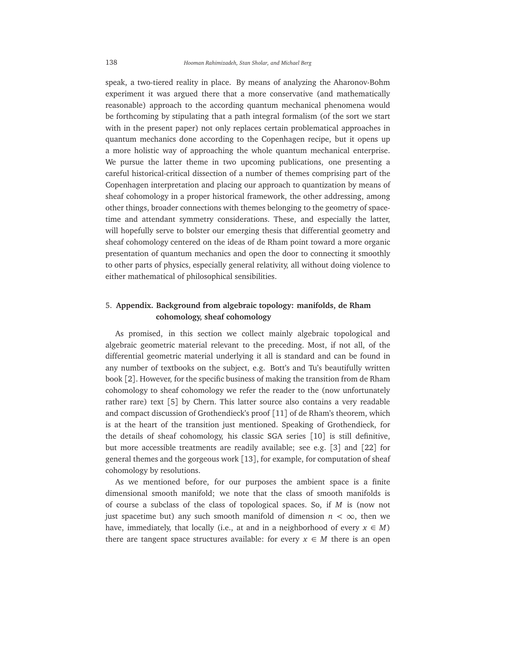speak, a two-tiered reality in place. By means of analyzing the Aharonov-Bohm experiment it was argued there that a more conservative (and mathematically reasonable) approach to the according quantum mechanical phenomena would be forthcoming by stipulating that a path integral formalism (of the sort we start with in the present paper) not only replaces certain problematical approaches in quantum mechanics done according to the Copenhagen recipe, but it opens up a more holistic way of approaching the whole quantum mechanical enterprise. We pursue the latter theme in two upcoming publications, one presenting a careful historical-critical dissection of a number of themes comprising part of the Copenhagen interpretation and placing our approach to quantization by means of sheaf cohomology in a proper historical framework, the other addressing, among other things, broader connections with themes belonging to the geometry of spacetime and attendant symmetry considerations. These, and especially the latter, will hopefully serve to bolster our emerging thesis that differential geometry and sheaf cohomology centered on the ideas of de Rham point toward a more organic presentation of quantum mechanics and open the door to connecting it smoothly to other parts of physics, especially general relativity, all without doing violence to either mathematical of philosophical sensibilities.

## 5. **Appendix. Background from algebraic topology: manifolds, de Rham cohomology, sheaf cohomology**

As promised, in this section we collect mainly algebraic topological and algebraic geometric material relevant to the preceding. Most, if not all, of the differential geometric material underlying it all is standard and can be found in any number of textbooks on the subject, e.g. Bott's and Tu's beautifully written book [2]. However, for the specific business of making the transition from de Rham cohomology to sheaf cohomology we refer the reader to the (now unfortunately rather rare) text [5] by Chern. This latter source also contains a very readable and compact discussion of Grothendieck's proof [11] of de Rham's theorem, which is at the heart of the transition just mentioned. Speaking of Grothendieck, for the details of sheaf cohomology, his classic SGA series [10] is still definitive, but more accessible treatments are readily available; see e.g. [3] and [22] for general themes and the gorgeous work [13], for example, for computation of sheaf cohomology by resolutions.

As we mentioned before, for our purposes the ambient space is a finite dimensional smooth manifold; we note that the class of smooth manifolds is of course a subclass of the class of topological spaces. So, if *M* is (now not just spacetime but) any such smooth manifold of dimension  $n < \infty$ , then we have, immediately, that locally (i.e., at and in a neighborhood of every  $x \in M$ ) there are tangent space structures available: for every  $x \in M$  there is an open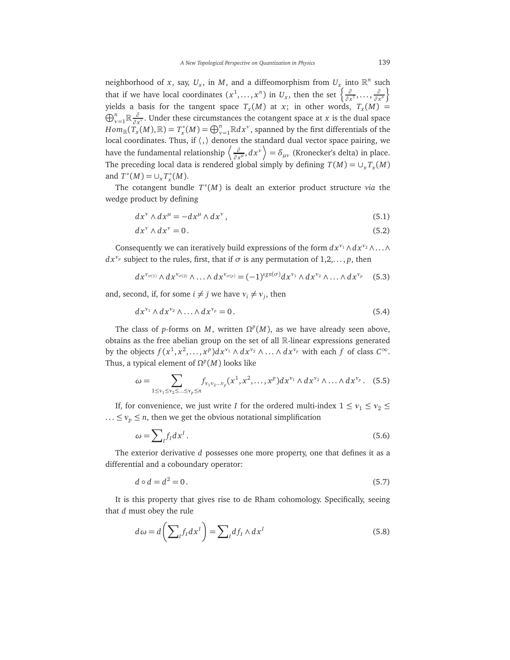neighborhood of *x*, say,  $U_x$ , in *M*, and a diffeomorphism from  $U_x$  into  $\mathbb{R}^n$  such that if we have local coordinates  $(x^1, \ldots, x^n)$  in  $U_x$ , then the set  $\left\{\frac{\partial}{\partial x}$ *∂ x*<sup>1</sup>,..., *∂ ∂ x*<sup>*n*</sup></sub>} yields a basis for the tangent space  $T_x(M)$  at  $x$ ; in other words,  $T_x(M)$  =  $\bigoplus_{\nu=1}^n \mathbb{R} \frac{\partial}{\partial \lambda}$  $\frac{\partial}{\partial x^{\nu}}$ . Under these circumstances the cotangent space at *x* is the dual space  $Hom_{\mathbb{R}}(\tilde{T}_x(M),\mathbb{R})=T_x^*(M)=\bigoplus_{\nu=1}^n\mathbb{R}dx^\nu$ , spanned by the first differentials of the local coordinates. Thus, if  $\langle , \rangle$  denotes the standard dual vector space pairing, we have the fundamental relationship  $\langle \frac{\partial}{\partial x} \rangle$  $\frac{\partial}{\partial x^{\mu}}$ ,  $dx^{\nu}$   $=$   $\delta_{\mu\nu}$  (Kronecker's delta) in place. The preceding local data is rendered global simply by defining  $T(M) = \cup_x T_x(M)$ and  $T^*(M) = \cup_x T^*_x(M)$ .

The cotangent bundle *T* ∗ (*M*) is dealt an exterior product structure *via* the wedge product by defining

$$
dx^{\nu} \wedge dx^{\mu} = -dx^{\mu} \wedge dx^{\nu}, \qquad (5.1)
$$

$$
dx^{\nu} \wedge dx^{\nu} = 0. \tag{5.2}
$$

Consequently we can iteratively build expressions of the form  $dx^{v_1} \wedge dx^{v_2} \wedge \ldots \wedge dx^{v_n}$  $dx^{\gamma_p}$  subject to the rules, first, that if  $\sigma$  is any permutation of  $1,2,\ldots,p$ , then

$$
dx^{\nu_{\sigma(1)}} \wedge dx^{\nu_{\sigma(2)}} \wedge \ldots \wedge dx^{\nu_{\sigma(p)}} = (-1)^{sgn(\sigma)} dx^{\nu_1} \wedge dx^{\nu_2} \wedge \ldots \wedge dx^{\nu_p} \quad (5.3)
$$

and, second, if, for some  $i \neq j$  we have  $v_i \neq v_j$ , then

$$
dx^{\nu_1} \wedge dx^{\nu_2} \wedge \ldots \wedge dx^{\nu_p} = 0. \tag{5.4}
$$

The class of *p*-forms on *M*, written  $\Omega^p(M)$ , as we have already seen above, obtains as the free abelian group on the set of all R-linear expressions generated by the objects  $f(x^1, x^2, \ldots, x^p) dx^{\nu_1} \wedge dx^{\nu_2} \wedge \ldots \wedge dx^{\nu_p}$  with each  $f$  of class  $C^{\infty}$ . Thus, a typical element of  $\Omega^p(M)$  looks like

$$
\omega = \sum_{1 \leq v_1 \leq v_2 \leq ... \leq v_p \leq n} f_{v_1 v_2 ... v_p}(x^1, x^2, ..., x^p) dx^{v_1} \wedge dx^{v_2} \wedge ... \wedge dx^{v_p}.
$$
 (5.5)

If, for convenience, we just write *I* for the ordered multi-index  $1 \le v_1 \le v_2 \le$ ...  $\leq v_p \leq n$ , then we get the obvious notational simplification

$$
\omega = \sum_{I} f_{I} dx^{I}.
$$
\n(5.6)

The exterior derivative *d* possesses one more property, one that defines it as a differential and a coboundary operator:

$$
d \circ d = d^2 = 0. \tag{5.7}
$$

It is this property that gives rise to de Rham cohomology. Specifically, seeing that *d* must obey the rule

$$
d\omega = d\left(\sum_{I} f_{I} dx^{I}\right) = \sum_{I} df_{I} \wedge dx^{I}
$$
\n(5.8)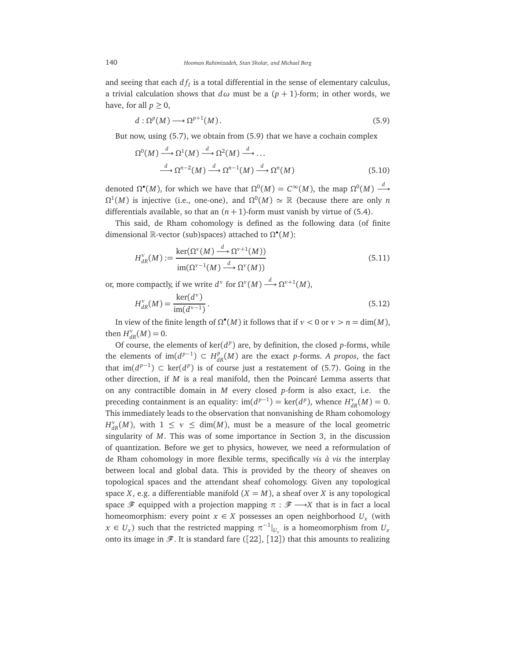and seeing that each  $df_I$  is a total differential in the sense of elementary calculus, a trivial calculation shows that  $d\omega$  must be a  $(p + 1)$ -form; in other words, we have, for all  $p \geq 0$ ,

$$
d: \Omega^p(M) \longrightarrow \Omega^{p+1}(M). \tag{5.9}
$$

But now, using (5.7), we obtain from (5.9) that we have a cochain complex

$$
\Omega^{0}(M) \xrightarrow{d} \Omega^{1}(M) \xrightarrow{d} \Omega^{2}(M) \xrightarrow{d} \dots
$$
  

$$
\xrightarrow{d} \Omega^{n-2}(M) \xrightarrow{d} \Omega^{n-1}(M) \xrightarrow{d} \Omega^{n}(M)
$$
(5.10)

denoted  $\Omega^{\bullet}(M)$ , for which we have that  $\Omega^{0}(M) = C^{\infty}(M)$ , the map  $\Omega^{0}(M) \stackrel{d}{\longrightarrow}$  $\Omega^1(M)$  is injective (i.e., one-one), and  $\Omega^0(M) \simeq \mathbb{R}$  (because there are only *n* differentials available, so that an  $(n + 1)$ -form must vanish by virtue of (5.4).

This said, de Rham cohomology is defined as the following data (of finite dimensional  $\mathbb{R}$ -vector (sub)spaces) attached to  $\Omega^{\bullet}(M)$ :

$$
H_{dR}^{\nu}(M) := \frac{\ker(\Omega^{\nu}(M) \xrightarrow{d} \Omega^{\nu+1}(M))}{\operatorname{im}(\Omega^{\nu-1}(M) \xrightarrow{d} \Omega^{\nu}(M))}
$$
(5.11)

or, more compactly, if we write  $d^v$  for  $\Omega^v(M) \stackrel{d}{\longrightarrow} \Omega^{v+1}(M)$ ,

$$
H_{dR}^{\nu}(M) = \frac{\ker(d^{\nu})}{\text{im}(d^{\nu-1})}.
$$
\n(5.12)

In view of the finite length of  $\Omega^{\bullet}(M)$  it follows that if  $v < 0$  or  $v > n = \dim(M)$ , then  $H^{\nu}_{dR}(M) = 0$ .

Of course, the elements of  $\ker(d^p)$  are, by definition, the closed p-forms, while the elements of  $\text{im}(d^{p-1}) \subset H_{dR}^p(M)$  are the exact *p*-forms. *A propos*, the fact that im( $d^{p-1}$ ) ⊂ ker( $d^p$ ) is of course just a restatement of (5.7). Going in the other direction, if *M* is a real manifold, then the Poincaré Lemma asserts that on any contractible domain in *M* every closed *p*-form is also exact, i.e. the preceding containment is an equality:  $\text{im}(d^{p-1}) = \text{ker}(d^p)$ , whence  $H^{\nu}_{dR}(M) = 0$ . This immediately leads to the observation that nonvanishing de Rham cohomology *H*<sup>*v*</sup><sub>*dR</sub>*(*M*), with  $1 \le v \le \dim(M)$ , must be a measure of the local geometric</sub> singularity of *M*. This was of some importance in Section 3, in the discussion of quantization. Before we get to physics, however, we need a reformulation of de Rham cohomology in more flexible terms, specifically *vis à vis* the interplay between local and global data. This is provided by the theory of sheaves on topological spaces and the attendant sheaf cohomology. Given any topological space *X*, e.g. a differentiable manifold  $(X = M)$ , a sheaf over *X* is any topological space  $\mathscr F$  equipped with a projection mapping  $\pi : \mathscr F \longrightarrow X$  that is in fact a local homeomorphism: every point  $x \in X$  possesses an open neighborhood  $U_x$  (with  $x \in U_x$ ) such that the restricted mapping  $\pi^{-1}|_{U_x}$  is a homeomorphism from  $U_x$ onto its image in  $\mathscr{F}$ . It is standard fare ([22], [12]) that this amounts to realizing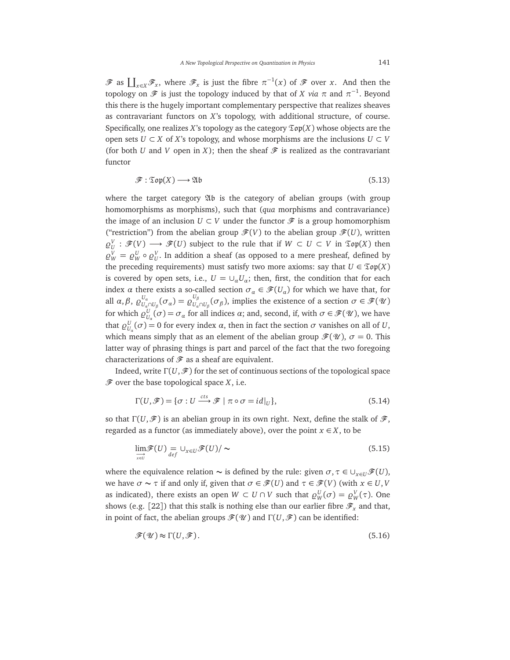$\mathscr{F}$  as  $\coprod_{x\in X}\mathscr{F}_x$ , where  $\mathscr{F}_x$  is just the fibre  $\pi^{-1}(x)$  of  $\mathscr{F}$  over *x*. And then the topology on  ${\mathscr{F}}$  is just the topology induced by that of  $X$  *via*  $\pi$  and  $\pi^{-1}.$  Beyond this there is the hugely important complementary perspective that realizes sheaves as contravariant functors on *X*'s topology, with additional structure, of course. Specifically, one realizes  $X$ 's topology as the category  $\mathfrak{Top}(X)$  whose objects are the open sets *U* ⊂ *X* of *X*'s topology, and whose morphisms are the inclusions *U* ⊂ *V* (for both *U* and *V* open in *X*); then the sheaf  $\mathcal F$  is realized as the contravariant functor

$$
\mathcal{F} : \mathfrak{Top}(X) \longrightarrow \mathfrak{Ab} \tag{5.13}
$$

where the target category Ab is the category of abelian groups (with group homomorphisms as morphisms), such that (*qua* morphisms and contravariance) the image of an inclusion  $U \subset V$  under the functor  $\mathscr F$  is a group homomorphism ("restriction") from the abelian group  $\mathscr{F}(V)$  to the abelian group  $\mathscr{F}(U)$ , written  $\varrho_U^V : \mathscr{F}(V) \longrightarrow \mathscr{F}(U)$  subject to the rule that if  $W \subset U \subset V$  in  $\mathfrak{Top}(X)$  then  $\varrho_W^V = \varrho_W^U \circ \varrho_U^V$ . In addition a sheaf (as opposed to a mere presheaf, defined by the preceding requirements) must satisfy two more axioms: say that  $U \in \mathfrak{Top}(X)$ is covered by open sets, i.e.,  $U = \bigcup_{\alpha} U_{\alpha}$ ; then, first, the condition that for each index *α* there exists a so-called section  $\sigma_{\alpha} \in \mathcal{F}(U_{\alpha})$  for which we have that, for all  $\alpha, \beta, \varrho_{\scriptscriptstyle U}^{\scriptscriptstyle U_{\alpha}}$  $U_a \over U_a \cap U_\beta} (\sigma_a) = \varrho_{U_a}^{U_\beta}$  $U_{\alpha}^{\beta}$  ( $\sigma_{\beta}$ ), implies the existence of a section  $\sigma \in \mathscr{F}(\mathscr{U})$ for which  $\varrho_{U_\alpha}^U(\sigma) = \sigma_\alpha$  for all indices  $\alpha$ ; and, second, if, with  $\sigma \in \mathscr{F}(\mathscr{U})$ , we have that  $\varrho_{U_\alpha}^U(\sigma) = 0$  for every index *α*, then in fact the section *σ* vanishes on all of *U*, which means simply that as an element of the abelian group  $\mathcal{F}(\mathcal{U})$ ,  $\sigma = 0$ . This latter way of phrasing things is part and parcel of the fact that the two foregoing characterizations of  $\mathcal F$  as a sheaf are equivalent.

Indeed, write  $\Gamma(U,\mathscr{F})$  for the set of continuous sections of the topological space  $\mathscr F$  over the base topological space  $X$ , i.e.

$$
\Gamma(U,\mathscr{F}) = \{ \sigma : U \xrightarrow{cts} \mathscr{F} \mid \pi \circ \sigma = id|_{U} \},\tag{5.14}
$$

so that  $\Gamma(U,\mathscr{F})$  is an abelian group in its own right. Next, define the stalk of  $\mathscr{F}$ , regarded as a functor (as immediately above), over the point  $x \in X$ , to be

$$
\lim_{\substack{\longrightarrow\\x\in U}} \mathcal{F}(U) = \bigcup_{\substack{x\in U}} \mathcal{F}(U) / \sim
$$
\n(5.15)

where the equivalence relation  $\sim$  is defined by the rule: given  $\sigma, \tau \in \cup_{x \in U} \mathcal{F}(U)$ , we have  $\sigma \sim \tau$  if and only if, given that  $\sigma \in \mathcal{F}(U)$  and  $\tau \in \mathcal{F}(V)$  (with  $x \in U, V$ as indicated), there exists an open  $W \subset U \cap V$  such that  $\varrho_W^U(\sigma) = \varrho_W^V(\tau)$ . One shows (e.g. [22]) that this stalk is nothing else than our earlier fibre  $\mathscr{F}_x$  and that, in point of fact, the abelian groups  $\mathcal{F}(W)$  and  $\Gamma(U,\mathcal{F})$  can be identified:

$$
\mathcal{F}(\mathcal{U}) \approx \Gamma(U, \mathcal{F}).\tag{5.16}
$$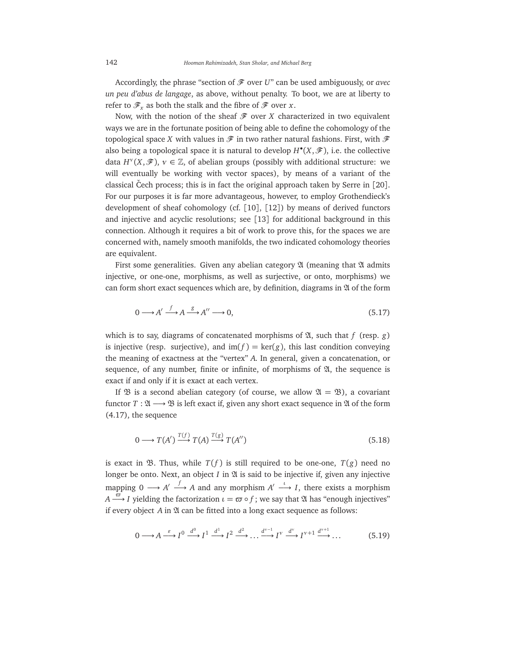Accordingly, the phrase "section of  $\mathcal F$  over *U*" can be used ambiguously, or *avec un peu d'abus de langage*, as above, without penalty. To boot, we are at liberty to refer to  $\mathscr{F}_r$  as both the stalk and the fibre of  $\mathscr{F}$  over *x*.

Now, with the notion of the sheaf  $\mathcal F$  over *X* characterized in two equivalent ways we are in the fortunate position of being able to define the cohomology of the topological space *X* with values in  $\mathscr F$  in two rather natural fashions. First, with  $\mathscr F$ also being a topological space it is natural to develop  $H^{\bullet}(X,\mathscr{F})$ , i.e. the collective data  $H^{\nu}(X,\mathscr{F})$ ,  $\nu \in \mathbb{Z}$ , of abelian groups (possibly with additional structure: we will eventually be working with vector spaces), by means of a variant of the classical Čech process; this is in fact the original approach taken by Serre in  $\lceil 20 \rceil$ . For our purposes it is far more advantageous, however, to employ Grothendieck's development of sheaf cohomology (cf. [10], [12]) by means of derived functors and injective and acyclic resolutions; see [13] for additional background in this connection. Although it requires a bit of work to prove this, for the spaces we are concerned with, namely smooth manifolds, the two indicated cohomology theories are equivalent.

First some generalities. Given any abelian category  $\mathfrak A$  (meaning that  $\mathfrak A$  admits injective, or one-one, morphisms, as well as surjective, or onto, morphisms) we can form short exact sequences which are, by definition, diagrams in  $\mathfrak A$  of the form

$$
0 \longrightarrow A' \xrightarrow{f} A \xrightarrow{g} A'' \longrightarrow 0,
$$
\n(5.17)

which is to say, diagrams of concatenated morphisms of  $\mathfrak{A}$ , such that *f* (resp. *g*) is injective (resp. surjective), and  $\text{im}(f) = \text{ker}(g)$ , this last condition conveying the meaning of exactness at the "vertex" *A*. In general, given a concatenation, or sequence, of any number, finite or infinite, of morphisms of  $\mathfrak{A}$ , the sequence is exact if and only if it is exact at each vertex.

If  $\mathfrak B$  is a second abelian category (of course, we allow  $\mathfrak A = \mathfrak B$ ), a covariant functor  $T : \mathfrak{A} \longrightarrow \mathfrak{B}$  is left exact if, given any short exact sequence in  $\mathfrak{A}$  of the form (4.17), the sequence

$$
0 \longrightarrow T(A') \xrightarrow{T(f)} T(A) \xrightarrow{T(g)} T(A'')
$$
\n(5.18)

is exact in  $\mathfrak{B}$ . Thus, while  $T(f)$  is still required to be one-one,  $T(g)$  need no longer be onto. Next, an object  $I$  in  $\mathfrak A$  is said to be injective if, given any injective mapping  $0 \longrightarrow A' \stackrel{f}{\longrightarrow} A$  and any morphism  $A' \stackrel{\iota}{\longrightarrow} I$ , there exists a morphism *A*  $\stackrel{\varpi}{\longrightarrow}$  *I* yielding the factorization  $\iota = \varpi \circ f$  ; we say that  $\mathfrak A$  has "enough injectives" if every object  $A$  in  $\mathfrak A$  can be fitted into a long exact sequence as follows:

$$
0 \longrightarrow A \stackrel{\varepsilon}{\longrightarrow} I^0 \stackrel{d^0}{\longrightarrow} I^1 \stackrel{d^1}{\longrightarrow} I^2 \stackrel{d^2}{\longrightarrow} \dots \stackrel{d^{v-1}}{\longrightarrow} I^v \stackrel{d^v}{\longrightarrow} I^{v+1} \stackrel{d^{v+1}}{\longrightarrow} \dots
$$
 (5.19)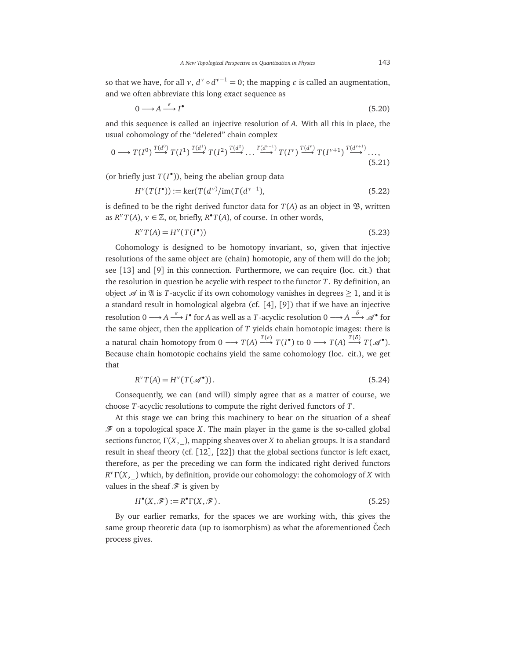so that we have, for all  $v$ ,  $d^v \circ d^{v-1} = 0$ ; the mapping  $\varepsilon$  is called an augmentation, and we often abbreviate this long exact sequence as

$$
0 \longrightarrow A \stackrel{\varepsilon}{\longrightarrow} I^{\bullet} \tag{5.20}
$$

and this sequence is called an injective resolution of *A*. With all this in place, the usual cohomology of the "deleted" chain complex

$$
0 \longrightarrow T(I^0) \xrightarrow{T(d^0)} T(I^1) \xrightarrow{T(d^1)} T(I^2) \xrightarrow{T(d^2)} \dots \xrightarrow{T(d^{v-1})} T(I^v) \xrightarrow{T(d^v)} T(I^{v+1}) \xrightarrow{T(d^{v+1})} \dots,
$$
\n
$$
(5.21)
$$

(or briefly just  $T(I^{\bullet})$ ), being the abelian group data

$$
H^{v}(T(I^{\bullet})) := \ker(T(d^{v})/im(T(d^{v-1}),
$$
\n(5.22)

is defined to be the right derived functor data for  $T(A)$  as an object in  $\mathfrak{B}$ , written as  $R^v T(A)$ ,  $v \in \mathbb{Z}$ , or, briefly,  $R^{\bullet} T(A)$ , of course. In other words,

$$
R^{\nu}T(A) = H^{\nu}(T(I^{\bullet}))
$$
\n
$$
(5.23)
$$

Cohomology is designed to be homotopy invariant, so, given that injective resolutions of the same object are (chain) homotopic, any of them will do the job; see [13] and [9] in this connection. Furthermore, we can require (loc. cit.) that the resolution in question be acyclic with respect to the functor *T*. By definition, an object  $\mathscr A$  in  $\mathfrak A$  is *T*-acyclic if its own cohomology vanishes in degrees  $\geq 1$ , and it is a standard result in homological algebra (cf. [4], [9]) that if we have an injective resolution 0 → *A* → *I*  $^{\epsilon}$  for *A* as well as a *T* -acyclic resolution 0 → *A* →  $^{\delta}$  of for the same object, then the application of *T* yields chain homotopic images: there is a natural chain homotopy from  $0 \longrightarrow T(A) \stackrel{T(\varepsilon)}{\longrightarrow} T(I^{\bullet})$  to  $0 \longrightarrow T(A) \stackrel{T(\delta)}{\longrightarrow} T(\mathscr{A}^{\bullet})$ . Because chain homotopic cochains yield the same cohomology (loc. cit.), we get that

$$
R^{\nu}T(A) = H^{\nu}(T(\mathcal{A}^{\bullet})).
$$
\n(5.24)

Consequently, we can (and will) simply agree that as a matter of course, we choose *T*-acyclic resolutions to compute the right derived functors of *T*.

At this stage we can bring this machinery to bear on the situation of a sheaf  $\mathscr F$  on a topological space *X*. The main player in the game is the so-called global sections functor,  $\Gamma(X, \cdot)$ , mapping sheaves over *X* to abelian groups. It is a standard result in sheaf theory (cf. [12], [22]) that the global sections functor is left exact, therefore, as per the preceding we can form the indicated right derived functors *R <sup>ν</sup>*Γ(*X*, \_) which, by definition, provide our cohomology: the cohomology of *X* with values in the sheaf  $\mathscr F$  is given by

$$
H^{\bullet}(X,\mathscr{F}):=R^{\bullet}\Gamma(X,\mathscr{F}).\tag{5.25}
$$

By our earlier remarks, for the spaces we are working with, this gives the same group theoretic data (up to isomorphism) as what the aforementioned Čech process gives.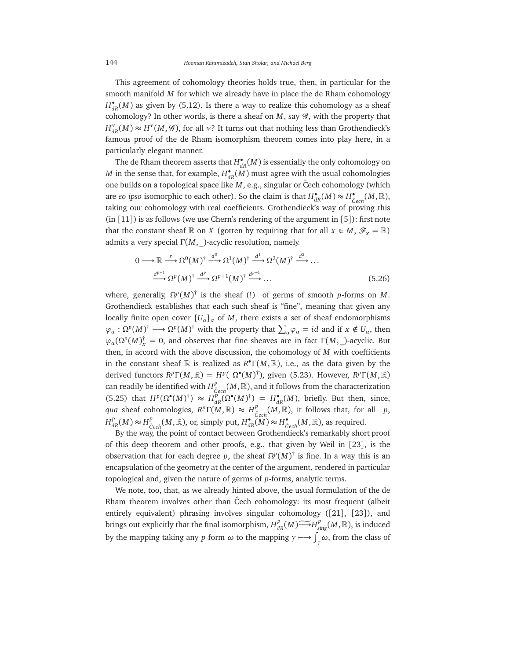This agreement of cohomology theories holds true, then, in particular for the smooth manifold *M* for which we already have in place the de Rham cohomology  $H_{dR}^{\bullet}(M)$  as given by (5.12). Is there a way to realize this cohomology as a sheaf cohomology? In other words, is there a sheaf on  $M$ , say  $\mathcal G$ , with the property that  $H^{\nu}_{dR}(M) \approx H^{\nu}(M, \mathcal{G})$ , for all *v*? It turns out that nothing less than Grothendieck's famous proof of the de Rham isomorphism theorem comes into play here, in a particularly elegant manner.

The de Rham theorem asserts that  $H_{dR}^{\bullet}(M)$  is essentially the only cohomology on *M* in the sense that, for example,  $H_{dR}^{\bullet}(M)$  must agree with the usual cohomologies one builds on a topological space like *M*, e.g., singular or Čech cohomology (which are *eo ipso* isomorphic to each other). So the claim is that  $H^{\bullet}_{dR}(M) \approx H^{\bullet}_{\check{C}ech}(M,\mathbb{R}),$ taking our cohomology with real coefficients. Grothendieck's way of proving this (in [11]) is as follows (we use Chern's rendering of the argument in [5]): first note that the constant sheaf  $\mathbb R$  on *X* (gotten by requiring that for all  $x \in M$ ,  $\mathscr F_x = \mathbb R$ ) admits a very special Γ(*M*, \_)-acyclic resolution, namely.

$$
0 \longrightarrow \mathbb{R} \stackrel{\varepsilon}{\longrightarrow} \Omega^0(M)^{\dagger} \stackrel{d^0}{\longrightarrow} \Omega^1(M)^{\dagger} \stackrel{d^1}{\longrightarrow} \Omega^2(M)^{\dagger} \stackrel{d^2}{\longrightarrow} \dots
$$
  

$$
\stackrel{d^{p-1}}{\longrightarrow} \Omega^p(M)^{\dagger} \stackrel{d^p}{\longrightarrow} \Omega^{p+1}(M)^{\dagger} \stackrel{d^{p+1}}{\longrightarrow} \dots
$$
 (5.26)

where, generally,  $\Omega^p(M)^\dagger$  is the sheaf (!) of germs of smooth *p*-forms on *M*. Grothendieck establishes that each such sheaf is "fine", meaning that given any locally finite open cover  ${U_a}_a$  of *M*, there exists a set of sheaf endomorphisms  $\varphi_{\alpha} : \Omega^{p}(M)^{\dagger} \longrightarrow \Omega^{p}(M)^{\dagger}$  with the property that  $\sum_{\alpha} \varphi_{\alpha} = id$  and if  $x \notin U_{\alpha}$ , then  $\varphi_{\alpha}(\Omega^p(M))^{\dagger}_{\chi} = 0$ , and observes that fine sheaves are in fact  $\Gamma(M, \_)$ -acyclic. But then, in accord with the above discussion, the cohomology of *M* with coefficients in the constant sheaf  $\mathbb R$  is realized as  $R^{\bullet} \Gamma(M, \mathbb R)$ , i.e., as the data given by the derived functors  $R^p\Gamma(M,\mathbb{R}) = H^p(\Omega^\bullet(M)^\dagger)$ , given (5.23). However,  $R^p\Gamma(M,\mathbb{R})$ can readily be identified with  $H^p_{\breve{\sigma}}$  $C^P_{\check{C}ech}(M,\mathbb{R}),$  and it follows from the characterization  $(H^p(\Omega^{\bullet}(M))^{\dagger}) \approx H^p_{dR}(\Omega^{\bullet}(M))^{\dagger}) = H^{\bullet}_{dR}(M)$ , briefly. But then, since, *qua* sheaf cohomologies,  $R^p\Gamma(M,\mathbb{R}) \approx H^p_{\lambda}$  $C^p_{\check{C}ech}(M,\mathbb{R})$ , it follows that, for all *p*,  $H^p_{dR}(M) \approx H^p_{\check{C}}$  $\sum_{\text{C}ech}^{p}(M,\mathbb{R})$ , or, simply put,  $H_{dR}^{\bullet}(M) \approx H_{\text{C}ech}^{\bullet}(M,\mathbb{R})$ , as required.

By the way, the point of contact between Grothendieck's remarkably short proof of this deep theorem and other proofs, e.g., that given by Weil in [23], is the observation that for each degree p, the sheaf  $\Omega^p(M)^\dagger$  is fine. In a way this is an encapsulation of the geometry at the center of the argument, rendered in particular topological and, given the nature of germs of *p*-forms, analytic terms.

We note, too, that, as we already hinted above, the usual formulation of the de Rham theorem involves other than Cech cohomology: its most frequent (albeit entirely equivalent) phrasing involves singular cohomology ([21], [23]), and brings out explicitly that the final isomorphism,  $H^p_{dR}(M) \widetilde{\longrightarrow} H^p_{sing}(M,\mathbb{R})$ , is induced by the mapping taking any *p*-form  $\omega$  to the mapping  $\gamma \longrightarrow \int_{\gamma} \omega$ , from the class of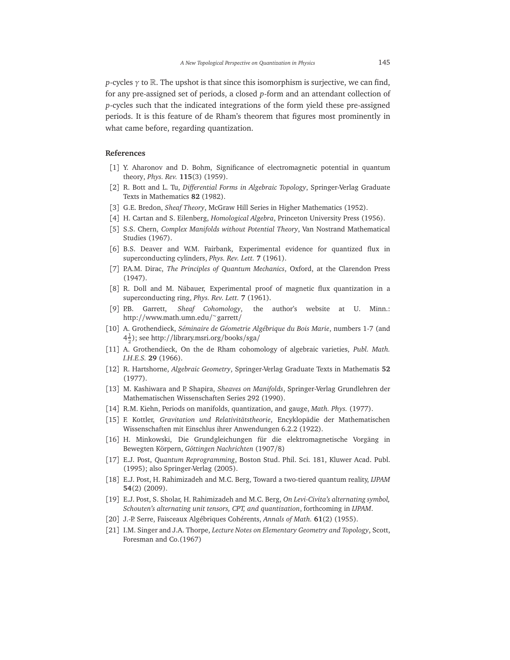*p*-cycles *γ* to R. The upshot is that since this isomorphism is surjective, we can find, for any pre-assigned set of periods, a closed *p*-form and an attendant collection of *p*-cycles such that the indicated integrations of the form yield these pre-assigned periods. It is this feature of de Rham's theorem that figures most prominently in what came before, regarding quantization.

#### **References**

- [1] Y. Aharonov and D. Bohm, Significance of electromagnetic potential in quantum theory, *Phys. Rev.* **115**(3) (1959).
- [2] R. Bott and L. Tu, *Differential Forms in Algebraic Topology*, Springer-Verlag Graduate Texts in Mathematics **82** (1982).
- [3] G.E. Bredon, *Sheaf Theory*, McGraw Hill Series in Higher Mathematics (1952).
- [4] H. Cartan and S. Eilenberg, *Homological Algebra*, Princeton University Press (1956).
- [5] S.S. Chern, *Complex Manifolds without Potential Theory*, Van Nostrand Mathematical Studies (1967).
- [6] B.S. Deaver and W.M. Fairbank, Experimental evidence for quantized flux in superconducting cylinders, *Phys. Rev. Lett.* **7** (1961).
- [7] P.A.M. Dirac, *The Principles of Quantum Mechanics*, Oxford, at the Clarendon Press (1947).
- [8] R. Doll and M. Näbauer, Experimental proof of magnetic flux quantization in a superconducting ring, *Phys. Rev. Lett.* **7** (1961).
- [9] P.B. Garrett, *Sheaf Cohomology*, the author's website at U. Minn.: http://www.math.umn.edu/ ∼ garrett/
- [10] A. Grothendieck, *Séminaire de Géometrie Algébrique du Bois Marie*, numbers 1-7 (and  $4\frac{1}{2}$ ); see http://library.msri.org/books/sga/
- [11] A. Grothendieck, On the de Rham cohomology of algebraic varieties, *Publ. Math. I.H.E.S.* **29** (1966).
- [12] R. Hartshorne, *Algebraic Geometry*, Springer-Verlag Graduate Texts in Mathematis **52** (1977).
- [13] M. Kashiwara and P. Shapira, *Sheaves on Manifolds*, Springer-Verlag Grundlehren der Mathematischen Wissenschaften Series 292 (1990).
- [14] R.M. Kiehn, Periods on manifolds, quantization, and gauge, *Math. Phys.* (1977).
- [15] F. Kottler, *Gravitation und Relativitätstheorie*, Encyklopädie der Mathematischen Wissenschaften mit Einschlus ihrer Anwendungen 6.2.2 (1922).
- [16] H. Minkowski, Die Grundgleichungen für die elektromagnetische Vorgäng in Bewegten Körpern, *Göttingen Nachrichten* (1907/8)
- [17] E.J. Post, *Quantum Reprogramming*, Boston Stud. Phil. Sci. 181, Kluwer Acad. Publ. (1995); also Springer-Verlag (2005).
- [18] E.J. Post, H. Rahimizadeh and M.C. Berg, Toward a two-tiered quantum reality, *IJPAM* **54**(2) (2009).
- [19] E.J. Post, S. Sholar, H. Rahimizadeh and M.C. Berg, *On Levi-Civita's alternating symbol, Schouten's alternating unit tensors, CPT, and quantization*, forthcoming in *IJPAM*.
- [20] J.-P. Serre, Faisceaux Algébriques Cohérents, *Annals of Math.* **61**(2) (1955).
- [21] I.M. Singer and J.A. Thorpe, *Lecture Notes on Elementary Geometry and Topology*, Scott, Foresman and Co.(1967)